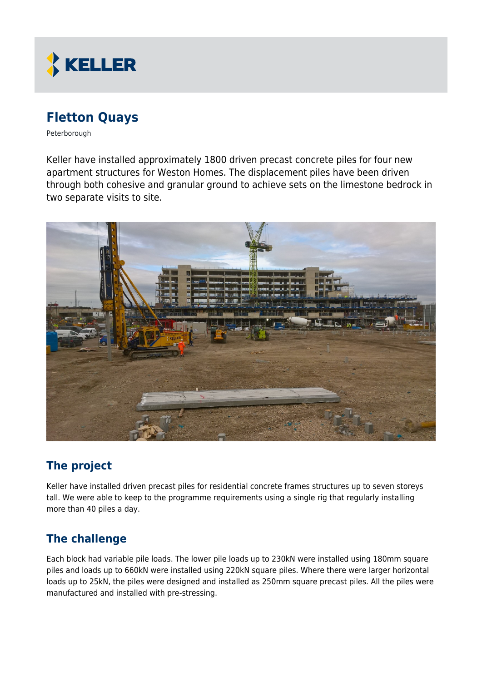

# **Fletton Quays**

Peterborough

Keller have installed approximately 1800 driven precast concrete piles for four new apartment structures for Weston Homes. The displacement piles have been driven through both cohesive and granular ground to achieve sets on the limestone bedrock in two separate visits to site.



## **The project**

Keller have installed driven precast piles for residential concrete frames structures up to seven storeys tall. We were able to keep to the programme requirements using a single rig that regularly installing more than 40 piles a day.

#### **The challenge**

Each block had variable pile loads. The lower pile loads up to 230kN were installed using 180mm square piles and loads up to 660kN were installed using 220kN square piles. Where there were larger horizontal loads up to 25kN, the piles were designed and installed as 250mm square precast piles. All the piles were manufactured and installed with pre-stressing.